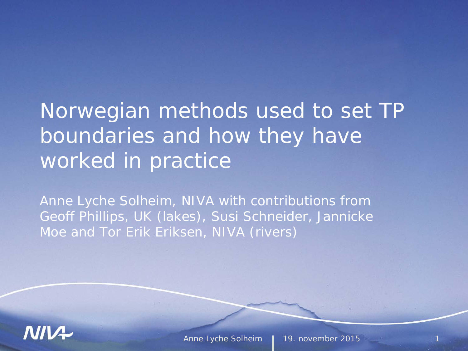#### Norwegian methods used to set TP boundaries and how they have worked in practice

*Anne Lyche Solheim, NIVA with contributions from Geoff Phillips, UK (lakes), Susi Schneider, Jannicke Moe and Tor Erik Eriksen, NIVA (rivers)* 

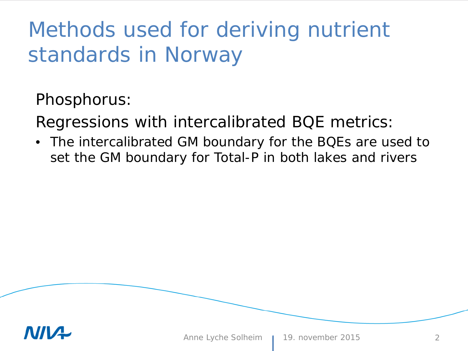#### Methods used for deriving nutrient standards in Norway

Phosphorus:

Regressions with intercalibrated BQE metrics:

• The intercalibrated GM boundary for the BQEs are used to set the GM boundary for Total-P in both lakes and rivers

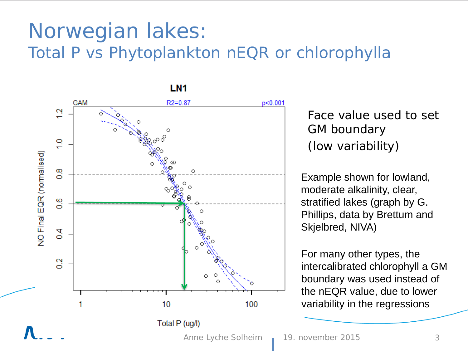#### Norwegian lakes: Total P vs Phytoplankton nEQR or chlorophylla



Face value used to set GM boundary (low variability)

Example shown for lowland, moderate alkalinity, clear, stratified lakes (graph by G. Phillips, data by Brettum and Skjelbred, NIVA)

For many other types, the intercalibrated chlorophyll a GM boundary was used instead of the nEQR value, due to lower variability in the regressions

Anne Lyche Solheim 19. november 2015 3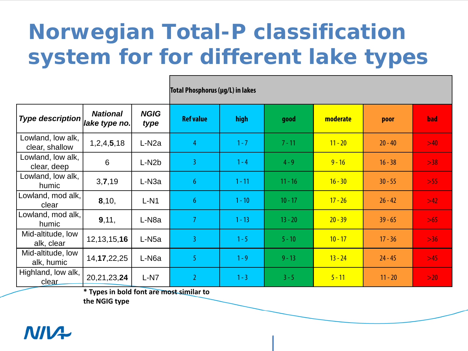# **Norwegian Total-P classification system for for different lake types**

| Type description $\big $ ake type no. $\big $ | <b>National</b> | <b>NGIG</b><br>type | <b>Ref value</b> | high     | good      | moderate  | poor      | bad   |  |  |
|-----------------------------------------------|-----------------|---------------------|------------------|----------|-----------|-----------|-----------|-------|--|--|
| Lowland, low alk,<br>clear, shallow           | 1,2,4,5,18      | L-N <sub>2</sub> a  | $\overline{4}$   | $1 - 7$  | $7 - 11$  | $11 - 20$ | $20 - 40$ | >40   |  |  |
| Lowland, low alk,<br>clear, deep              | 6               | L-N <sub>2</sub> b  | $\overline{3}$   | $1 - 4$  | $4 - 9$   | $9 - 16$  | $16 - 38$ | >38   |  |  |
| Lowland, low alk,<br>humic                    | 3,7,19          | L-N <sub>3a</sub>   | $6\phantom{.}6$  | $1 - 11$ | $11 - 16$ | $16 - 30$ | $30 - 55$ | $>55$ |  |  |
| Lowland, mod alk,<br>clear                    | 8,10,           | $L-N1$              | 6 <sup>1</sup>   | $1 - 10$ | $10 - 17$ | $17 - 26$ | $26 - 42$ | >42   |  |  |
| Lowland, mod alk,<br>humic                    | 9,11,           | L-N <sub>8</sub> a  | $\overline{7}$   | $1 - 13$ | $13 - 20$ | $20 - 39$ | $39 - 65$ | $>65$ |  |  |
| Mid-altitude, low<br>alk, clear               | 12, 13, 15, 16  | L-N <sub>5a</sub>   | 3                | $1 - 5$  | $5 - 10$  | $10 - 17$ | $17 - 36$ | $>36$ |  |  |
| Mid-altitude, low<br>alk, humic               | 14, 17, 22, 25  | L-N <sub>6</sub> a  | 5                | $1 - 9$  | $9 - 13$  | $13 - 24$ | $24 - 45$ | $>45$ |  |  |
| Highland, low alk,<br>clear                   | 20,21,23,24     | $L-N7$              | $\overline{2}$   | $1 - 3$  | $3 - 5$   | $5 - 11$  | $11 - 20$ | >20   |  |  |

**Total Phosphorus(µg/L) in lakes**

**\* Types in bold font are most similar to** 

**the NGIG type**

#### **NIIVA**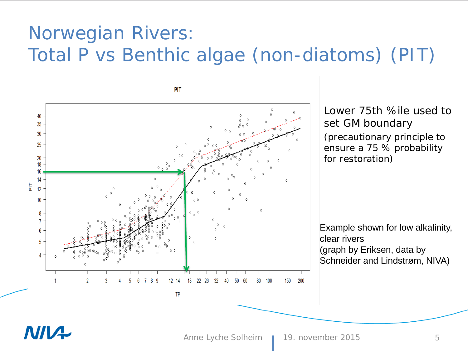#### Norwegian Rivers: Total P vs Benthic algae (non-diatoms) (PIT)

40 35 30 25 20 18 16  $14$  $rac{1}{\overline{a}}$  $12$  $10$  $0 \wedge 0$ 8  $\overline{7}$  $6\phantom{.0}$  $5<sup>5</sup>$  $\overline{4}$ 8 12 14 18 22 26 32 100 150 200 q 80 TP

PIT

Lower 75th %ile used to set GM boundary (precautionary principle to ensure a 75 % probability for restoration)

Example shown for low alkalinity, clear rivers (graph by Eriksen, data by Schneider and Lindstrøm, NIVA)

#### N/V+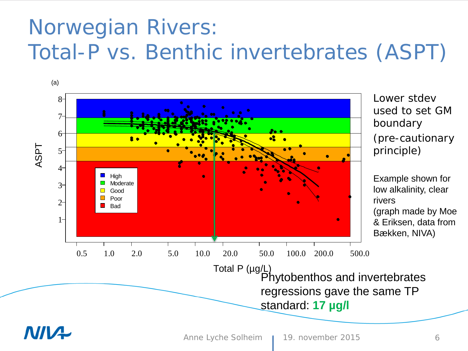#### Norwegian Rivers: Total-P vs. Benthic invertebrates (ASPT)

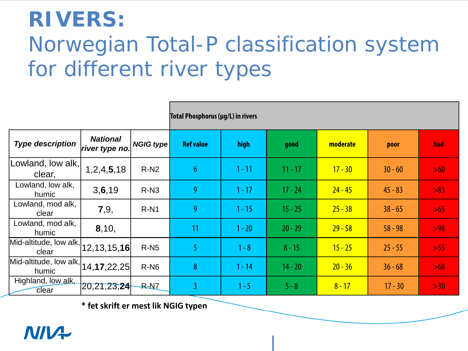# **RIVERS:**  Norwegian Total-P classification system for different river types

|                                                    |                                   |           | Total Phosphorus (µg/L) in rivers |          |           |           |           |            |  |  |
|----------------------------------------------------|-----------------------------------|-----------|-----------------------------------|----------|-----------|-----------|-----------|------------|--|--|
| <b>Type description</b>                            | <b>National</b><br>river type no. | NGIG type | <b>Ref value</b>                  | high     | good      | moderate  | poor      | <b>bad</b> |  |  |
| Lowland, low alk,<br>clear,                        | 1,2,4,5,18                        | $R-N2$    | 6 <sup>1</sup>                    | $1 - 11$ | $11 - 17$ | $17 - 30$ | $30 - 60$ | >60        |  |  |
| Lowland, low alk,<br>humic                         | 3, 6, 19                          | $R-N3$    | 9                                 | $1 - 17$ | $17 - 24$ | $24 - 45$ | $45 - 83$ | >83        |  |  |
| Lowland, mod alk,<br>clear                         | 7,9,                              | $R-N1$    | 9                                 | $1 - 15$ | $15 - 25$ | $25 - 38$ | $38 - 65$ | $>65$      |  |  |
| Lowland, mod alk,<br>humic                         | 8,10,                             |           | 11                                | $1 - 20$ | $20 - 29$ | $29 - 58$ | $58 - 98$ | >98        |  |  |
| Mid-altitude, low alk, $ 12, 13, 15, 16 $          |                                   | $R-N5$    | 5                                 | $1 - 8$  | $8 - 15$  | $15 - 25$ | $25 - 55$ | >55        |  |  |
| Mid-altitude, low alk, $ 14, 17, 22, 25 $<br>humic |                                   | $R-N6$    | 8                                 | $1 - 14$ | $14 - 20$ | $20 - 36$ | $36 - 68$ | $>68$      |  |  |
| Highland, low alk,<br>clear                        | [20, 21, 23, 24]                  | $R-N7$    | $\overline{3}$                    | $1 - 5$  | $5 - 8$   | $8 - 17$  | $17 - 30$ | >30        |  |  |

**\* fet skrift er mest lik NGIG typen**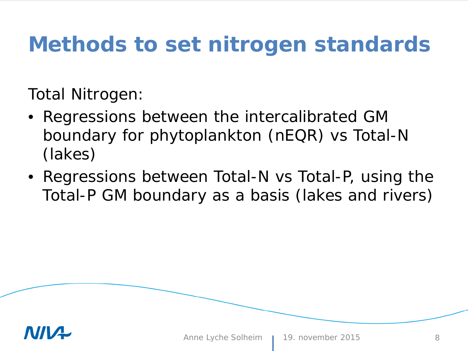## **Methods to set nitrogen standards**

Total Nitrogen:

- Regressions between the intercalibrated GM boundary for phytoplankton (nEQR) vs Total-N (lakes)
- Regressions between Total-N vs Total-P, using the Total-P GM boundary as a basis (lakes and rivers)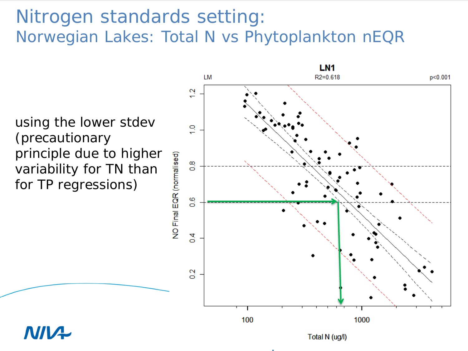#### Nitrogen standards setting: Norwegian Lakes: Total N vs Phytoplankton nEQR

using the lower stdev (precautionary principle due to higher variability for TN than for TP regressions)

**NIV+** 

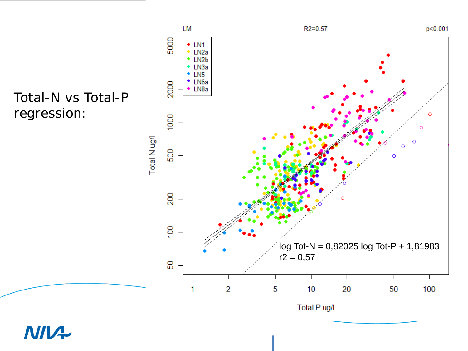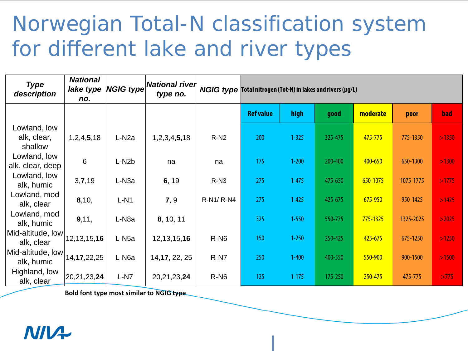#### Norwegian Total-N classification system for different lake and river types

| <b>Type</b><br>description             | <b>National</b><br>lake type<br>no. | <b>NGIG type</b>   | National river<br>type no. |                  | NGIG type Total nitrogen (Tot-N) in lakes and rivers (µg/L) |           |         |          |           |       |  |  |  |
|----------------------------------------|-------------------------------------|--------------------|----------------------------|------------------|-------------------------------------------------------------|-----------|---------|----------|-----------|-------|--|--|--|
|                                        |                                     |                    |                            |                  | <b>Ref value</b>                                            | high      | good    | moderate | poor      | bad   |  |  |  |
| Lowland, low<br>alk, clear,<br>shallow | 1, 2, 4, 5, 18                      | L-N <sub>2</sub> a | 1,2,3,4,5,18               | $R-N2$           | 200                                                         | $1 - 325$ | 325-475 | 475-775  | 775-1350  | >1350 |  |  |  |
| Lowland, low<br>alk, clear, deep       | 6                                   | L-N <sub>2</sub> b | na                         | na               | 175                                                         | $1 - 200$ | 200-400 | 400-650  | 650-1300  | >1300 |  |  |  |
| Lowland, low<br>alk, humic             | 3,7,19                              | L-N <sub>3a</sub>  | 6, 19                      | $R-N3$           | 275                                                         | $1 - 475$ | 475-650 | 650-1075 | 1075-1775 | >1775 |  |  |  |
| Lowland, mod<br>alk, clear             | 8,10,                               | $L-N1$             | 7, 9                       | R-N1/ R-N4       | 275                                                         | $1 - 425$ | 425-675 | 675-950  | 950-1425  | >1425 |  |  |  |
| Lowland, mod<br>alk, humic             | 9,11,                               | L-N <sub>8a</sub>  | 8, 10, 11                  |                  | 325                                                         | $1 - 550$ | 550-775 | 775-1325 | 1325-2025 | >2025 |  |  |  |
| Mid-altitude, low<br>alk, clear        | 12, 13, 15, 16                      | L-N <sub>5a</sub>  | 12, 13, 15, 16             | R-N <sub>6</sub> | 150                                                         | $1 - 250$ | 250-425 | 425-675  | 675-1250  | >1250 |  |  |  |
| Mid-altitude, low<br>alk, humic        | 14, 17, 22, 25                      | L-N <sub>6a</sub>  | 14, 17, 22, 25             | R-N7             | 250                                                         | $1 - 400$ | 400-550 | 550-900  | 900-1500  | >1500 |  |  |  |
| Highland, low<br>alk, clear            | 20,21,23,24                         | $L-N7$             | 20,21,23,24                | $R-N6$           | 125                                                         | $1 - 175$ | 175-250 | 250-475  | 475-775   | >775  |  |  |  |

**Bold font type most similar to NGIG type**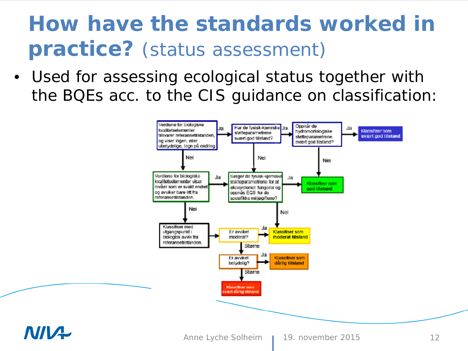## **How have the standards worked in practice?** (status assessment)

• Used for assessing ecological status together with the BQEs acc. to the CIS guidance on classification:



#### **NINA**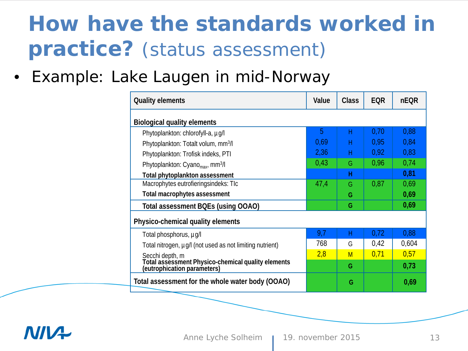# **How have the standards worked in practice?** (status assessment)

• Example: Lake Laugen in mid-Norway

| <b>Quality elements</b>                                                           | Value | <b>Class</b> | <b>EQR</b> | <b>nEQR</b> |
|-----------------------------------------------------------------------------------|-------|--------------|------------|-------------|
| <b>Biological quality elements</b>                                                |       |              |            |             |
| Phytoplankton: chlorofyll-a, µg/l                                                 | 5     | Н            | 0,70       | 0,88        |
| Phytoplankton: Totalt volum, mm <sup>3</sup> /l                                   | 0,69  | Н            | 0,95       | 0,84        |
| Phytoplankton: Trofisk indeks, PTI                                                | 2,36  | Н            | 0.92       | 0,83        |
| Phytoplankton: Cyano <sub>max</sub> , mm <sup>3</sup> /l                          | 0,43  | G            | 0.96       | 0,74        |
| Total phytoplankton assessment                                                    |       | H            |            | 0,81        |
| Macrophytes eutrofieringsindeks: TIc                                              | 47,4  | G            | 0,87       | 0,69        |
| <b>Total macrophytes assessment</b>                                               |       | G            |            | 0,69        |
| Total assessment BQEs (using OOAO)                                                |       | G            |            | 0,69        |
| Physico-chemical quality elements                                                 |       |              |            |             |
| Total phosphorus, µg/l                                                            | 9,7   | н            | 0,72       | 0,88        |
| Total nitrogen, µg/l (not used as not limiting nutrient)                          | 768   | G            | 0,42       | 0,604       |
| Secchi depth, m                                                                   | 2,8   | M            | 0,71       | 0,57        |
| Total assessment Physico-chemical quality elements<br>(eutrophication parameters) |       | G            |            | 0,73        |
| Total assessment for the whole water body (OOAO)                                  |       | G            |            | 0,69        |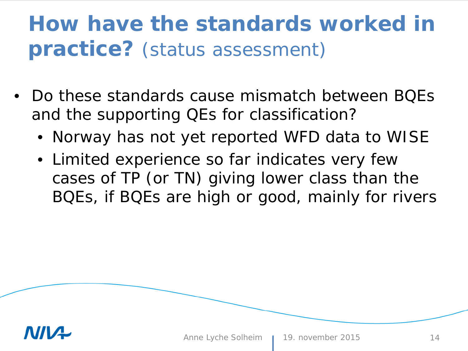## **How have the standards worked in practice?** (status assessment)

- Do these standards cause mismatch between BQEs and the supporting QEs for classification?
	- *Norway has not yet reported WFD data to WISE*
	- *Limited experience so far indicates very few cases of TP (or TN) giving lower class than the BQEs, if BQEs are high or good, mainly for rivers*